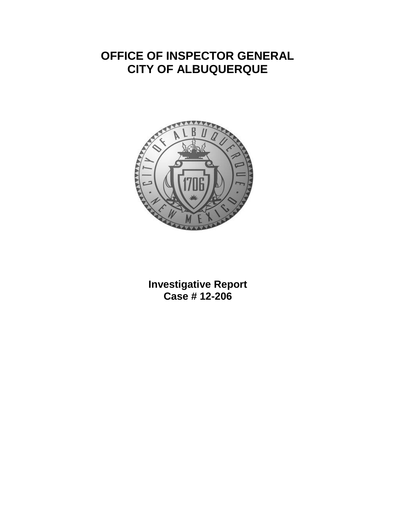## **OFFICE OF INSPECTOR GENERAL CITY OF ALBUQUERQUE**



**Investigative Report Case # 12-206**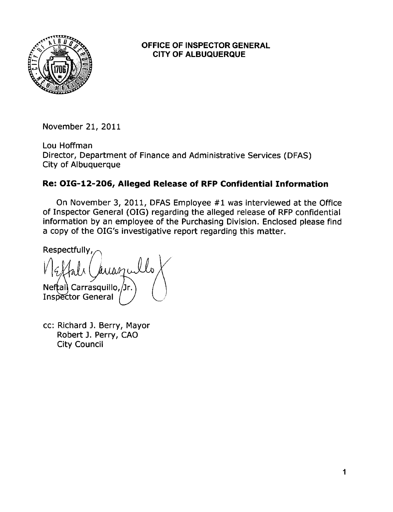

## **OFFICE OF INSPECTOR GENERAL CITY OF ALBUQUERQUE**

November 21, 2011

Lou Hoffman Director, Department of Finance and Administrative Services (DFAS) City of Albuquerque

## Re: OIG-12-206, Alleged Release of RFP Confidential Information

On November 3, 2011, DFAS Employee #1 was interviewed at the Office of Inspector General (OIG) regarding the alleged release of RFP confidential information by an employee of the Purchasing Division. Enclosed please find a copy of the OIG's investigative report regarding this matter.

Respectfully, Neftal Carrasquillo, Jr **Inspector General** 

cc: Richard J. Berry, Mayor Robert J. Perry, CAO **City Council**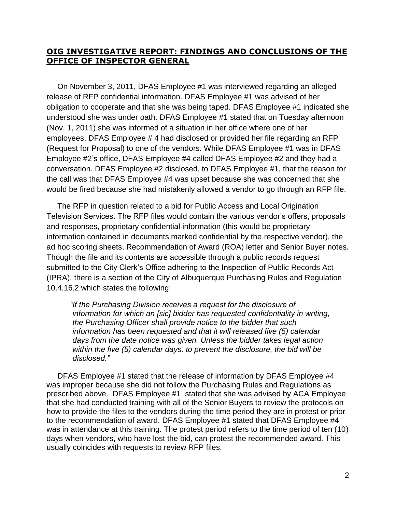## **OIG INVESTIGATIVE REPORT: FINDINGS AND CONCLUSIONS OF THE OFFICE OF INSPECTOR GENERAL**

 On November 3, 2011, DFAS Employee #1 was interviewed regarding an alleged release of RFP confidential information. DFAS Employee #1 was advised of her obligation to cooperate and that she was being taped. DFAS Employee #1 indicated she understood she was under oath. DFAS Employee #1 stated that on Tuesday afternoon (Nov. 1, 2011) she was informed of a situation in her office where one of her employees, DFAS Employee # 4 had disclosed or provided her file regarding an RFP (Request for Proposal) to one of the vendors. While DFAS Employee #1 was in DFAS Employee #2's office, DFAS Employee #4 called DFAS Employee #2 and they had a conversation. DFAS Employee #2 disclosed, to DFAS Employee #1, that the reason for the call was that DFAS Employee #4 was upset because she was concerned that she would be fired because she had mistakenly allowed a vendor to go through an RFP file.

 The RFP in question related to a bid for Public Access and Local Origination Television Services. The RFP files would contain the various vendor's offers, proposals and responses, proprietary confidential information (this would be proprietary information contained in documents marked confidential by the respective vendor), the ad hoc scoring sheets, Recommendation of Award (ROA) letter and Senior Buyer notes. Though the file and its contents are accessible through a public records request submitted to the City Clerk's Office adhering to the Inspection of Public Records Act (IPRA), there is a section of the City of Albuquerque Purchasing Rules and Regulation 10.4.16.2 which states the following:

*"If the Purchasing Division receives a request for the disclosure of information for which an [sic] bidder has requested confidentiality in writing, the Purchasing Officer shall provide notice to the bidder that such information has been requested and that it will released five (5) calendar days from the date notice was given. Unless the bidder takes legal action within the five (5) calendar days, to prevent the disclosure, the bid will be disclosed."*

 DFAS Employee #1 stated that the release of information by DFAS Employee #4 was improper because she did not follow the Purchasing Rules and Regulations as prescribed above. DFAS Employee #1 stated that she was advised by ACA Employee that she had conducted training with all of the Senior Buyers to review the protocols on how to provide the files to the vendors during the time period they are in protest or prior to the recommendation of award. DFAS Employee #1 stated that DFAS Employee #4 was in attendance at this training. The protest period refers to the time period of ten (10) days when vendors, who have lost the bid, can protest the recommended award. This usually coincides with requests to review RFP files.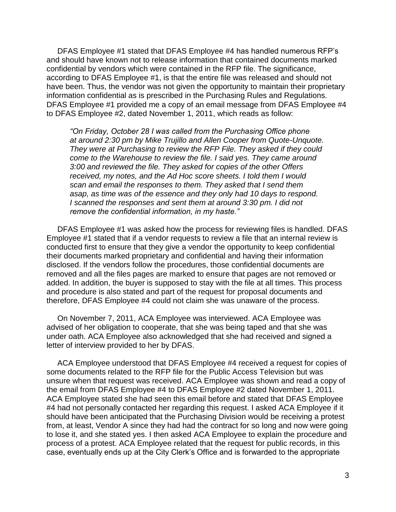DFAS Employee #1 stated that DFAS Employee #4 has handled numerous RFP's and should have known not to release information that contained documents marked confidential by vendors which were contained in the RFP file. The significance, according to DFAS Employee #1, is that the entire file was released and should not have been. Thus, the vendor was not given the opportunity to maintain their proprietary information confidential as is prescribed in the Purchasing Rules and Regulations. DFAS Employee #1 provided me a copy of an email message from DFAS Employee #4 to DFAS Employee #2, dated November 1, 2011, which reads as follow:

*"On Friday, October 28 I was called from the Purchasing Office phone at around 2:30 pm by Mike Trujillo and Allen Cooper from Quote-Unquote. They were at Purchasing to review the RFP File. They asked if they could come to the Warehouse to review the file. I said yes. They came around 3:00 and reviewed the file. They asked for copies of the other Offers received, my notes, and the Ad Hoc score sheets. I told them I would scan and email the responses to them. They asked that I send them asap, as time was of the essence and they only had 10 days to respond. I scanned the responses and sent them at around 3:30 pm. I did not remove the confidential information, in my haste."*

 DFAS Employee #1 was asked how the process for reviewing files is handled. DFAS Employee #1 stated that if a vendor requests to review a file that an internal review is conducted first to ensure that they give a vendor the opportunity to keep confidential their documents marked proprietary and confidential and having their information disclosed. If the vendors follow the procedures, those confidential documents are removed and all the files pages are marked to ensure that pages are not removed or added. In addition, the buyer is supposed to stay with the file at all times. This process and procedure is also stated and part of the request for proposal documents and therefore, DFAS Employee #4 could not claim she was unaware of the process.

 On November 7, 2011, ACA Employee was interviewed. ACA Employee was advised of her obligation to cooperate, that she was being taped and that she was under oath. ACA Employee also acknowledged that she had received and signed a letter of interview provided to her by DFAS.

 ACA Employee understood that DFAS Employee #4 received a request for copies of some documents related to the RFP file for the Public Access Television but was unsure when that request was received. ACA Employee was shown and read a copy of the email from DFAS Employee #4 to DFAS Employee #2 dated November 1, 2011. ACA Employee stated she had seen this email before and stated that DFAS Employee #4 had not personally contacted her regarding this request. I asked ACA Employee if it should have been anticipated that the Purchasing Division would be receiving a protest from, at least, Vendor A since they had had the contract for so long and now were going to lose it, and she stated yes. I then asked ACA Employee to explain the procedure and process of a protest. ACA Employee related that the request for public records, in this case, eventually ends up at the City Clerk's Office and is forwarded to the appropriate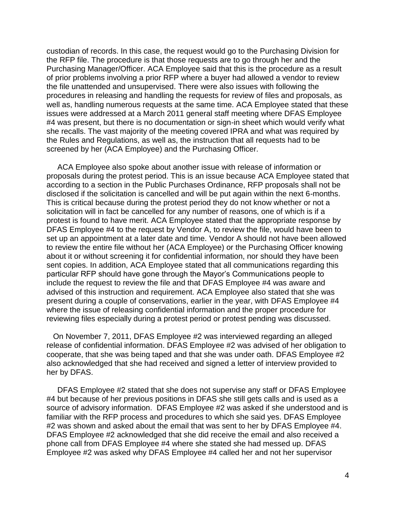custodian of records. In this case, the request would go to the Purchasing Division for the RFP file. The procedure is that those requests are to go through her and the Purchasing Manager/Officer. ACA Employee said that this is the procedure as a result of prior problems involving a prior RFP where a buyer had allowed a vendor to review the file unattended and unsupervised. There were also issues with following the procedures in releasing and handling the requests for review of files and proposals, as well as, handling numerous requests at the same time. ACA Employee stated that these issues were addressed at a March 2011 general staff meeting where DFAS Employee #4 was present, but there is no documentation or sign-in sheet which would verify what she recalls. The vast majority of the meeting covered IPRA and what was required by the Rules and Regulations, as well as, the instruction that all requests had to be screened by her (ACA Employee) and the Purchasing Officer.

 ACA Employee also spoke about another issue with release of information or proposals during the protest period. This is an issue because ACA Employee stated that according to a section in the Public Purchases Ordinance, RFP proposals shall not be disclosed if the solicitation is cancelled and will be put again within the next 6-months. This is critical because during the protest period they do not know whether or not a solicitation will in fact be cancelled for any number of reasons, one of which is if a protest is found to have merit. ACA Employee stated that the appropriate response by DFAS Employee #4 to the request by Vendor A, to review the file, would have been to set up an appointment at a later date and time. Vendor A should not have been allowed to review the entire file without her (ACA Employee) or the Purchasing Officer knowing about it or without screening it for confidential information, nor should they have been sent copies. In addition, ACA Employee stated that all communications regarding this particular RFP should have gone through the Mayor's Communications people to include the request to review the file and that DFAS Employee #4 was aware and advised of this instruction and requirement. ACA Employee also stated that she was present during a couple of conservations, earlier in the year, with DFAS Employee #4 where the issue of releasing confidential information and the proper procedure for reviewing files especially during a protest period or protest pending was discussed.

 On November 7, 2011, DFAS Employee #2 was interviewed regarding an alleged release of confidential information. DFAS Employee #2 was advised of her obligation to cooperate, that she was being taped and that she was under oath. DFAS Employee #2 also acknowledged that she had received and signed a letter of interview provided to her by DFAS.

 DFAS Employee #2 stated that she does not supervise any staff or DFAS Employee #4 but because of her previous positions in DFAS she still gets calls and is used as a source of advisory information. DFAS Employee #2 was asked if she understood and is familiar with the RFP process and procedures to which she said yes. DFAS Employee #2 was shown and asked about the email that was sent to her by DFAS Employee #4. DFAS Employee #2 acknowledged that she did receive the email and also received a phone call from DFAS Employee #4 where she stated she had messed up. DFAS Employee #2 was asked why DFAS Employee #4 called her and not her supervisor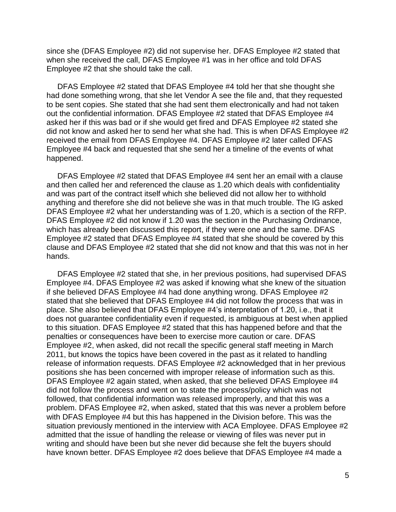since she (DFAS Employee #2) did not supervise her. DFAS Employee #2 stated that when she received the call, DFAS Employee #1 was in her office and told DFAS Employee #2 that she should take the call.

 DFAS Employee #2 stated that DFAS Employee #4 told her that she thought she had done something wrong, that she let Vendor A see the file and, that they requested to be sent copies. She stated that she had sent them electronically and had not taken out the confidential information. DFAS Employee #2 stated that DFAS Employee #4 asked her if this was bad or if she would get fired and DFAS Employee #2 stated she did not know and asked her to send her what she had. This is when DFAS Employee #2 received the email from DFAS Employee #4. DFAS Employee #2 later called DFAS Employee #4 back and requested that she send her a timeline of the events of what happened.

 DFAS Employee #2 stated that DFAS Employee #4 sent her an email with a clause and then called her and referenced the clause as 1.20 which deals with confidentiality and was part of the contract itself which she believed did not allow her to withhold anything and therefore she did not believe she was in that much trouble. The IG asked DFAS Employee #2 what her understanding was of 1.20, which is a section of the RFP. DFAS Employee #2 did not know if 1.20 was the section in the Purchasing Ordinance, which has already been discussed this report, if they were one and the same. DFAS Employee #2 stated that DFAS Employee #4 stated that she should be covered by this clause and DFAS Employee #2 stated that she did not know and that this was not in her hands.

 DFAS Employee #2 stated that she, in her previous positions, had supervised DFAS Employee #4. DFAS Employee #2 was asked if knowing what she knew of the situation if she believed DFAS Employee #4 had done anything wrong. DFAS Employee #2 stated that she believed that DFAS Employee #4 did not follow the process that was in place. She also believed that DFAS Employee #4's interpretation of 1.20, i.e., that it does not guarantee confidentiality even if requested, is ambiguous at best when applied to this situation. DFAS Employee #2 stated that this has happened before and that the penalties or consequences have been to exercise more caution or care. DFAS Employee #2, when asked, did not recall the specific general staff meeting in March 2011, but knows the topics have been covered in the past as it related to handling release of information requests. DFAS Employee #2 acknowledged that in her previous positions she has been concerned with improper release of information such as this. DFAS Employee #2 again stated, when asked, that she believed DFAS Employee #4 did not follow the process and went on to state the process/policy which was not followed, that confidential information was released improperly, and that this was a problem. DFAS Employee #2, when asked, stated that this was never a problem before with DFAS Employee #4 but this has happened in the Division before. This was the situation previously mentioned in the interview with ACA Employee. DFAS Employee #2 admitted that the issue of handling the release or viewing of files was never put in writing and should have been but she never did because she felt the buyers should have known better. DFAS Employee #2 does believe that DFAS Employee #4 made a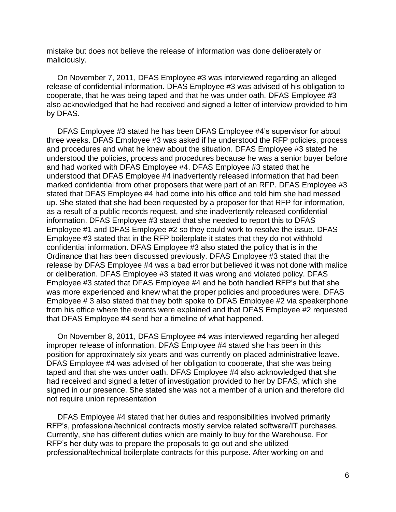mistake but does not believe the release of information was done deliberately or maliciously.

 On November 7, 2011, DFAS Employee #3 was interviewed regarding an alleged release of confidential information. DFAS Employee #3 was advised of his obligation to cooperate, that he was being taped and that he was under oath. DFAS Employee #3 also acknowledged that he had received and signed a letter of interview provided to him by DFAS.

 DFAS Employee #3 stated he has been DFAS Employee #4's supervisor for about three weeks. DFAS Employee #3 was asked if he understood the RFP policies, process and procedures and what he knew about the situation. DFAS Employee #3 stated he understood the policies, process and procedures because he was a senior buyer before and had worked with DFAS Employee #4. DFAS Employee #3 stated that he understood that DFAS Employee #4 inadvertently released information that had been marked confidential from other proposers that were part of an RFP. DFAS Employee #3 stated that DFAS Employee #4 had come into his office and told him she had messed up. She stated that she had been requested by a proposer for that RFP for information, as a result of a public records request, and she inadvertently released confidential information. DFAS Employee #3 stated that she needed to report this to DFAS Employee #1 and DFAS Employee #2 so they could work to resolve the issue. DFAS Employee #3 stated that in the RFP boilerplate it states that they do not withhold confidential information. DFAS Employee #3 also stated the policy that is in the Ordinance that has been discussed previously. DFAS Employee #3 stated that the release by DFAS Employee #4 was a bad error but believed it was not done with malice or deliberation. DFAS Employee #3 stated it was wrong and violated policy. DFAS Employee #3 stated that DFAS Employee #4 and he both handled RFP's but that she was more experienced and knew what the proper policies and procedures were. DFAS Employee # 3 also stated that they both spoke to DFAS Employee #2 via speakerphone from his office where the events were explained and that DFAS Employee #2 requested that DFAS Employee #4 send her a timeline of what happened.

 On November 8, 2011, DFAS Employee #4 was interviewed regarding her alleged improper release of information. DFAS Employee #4 stated she has been in this position for approximately six years and was currently on placed administrative leave. DFAS Employee #4 was advised of her obligation to cooperate, that she was being taped and that she was under oath. DFAS Employee #4 also acknowledged that she had received and signed a letter of investigation provided to her by DFAS, which she signed in our presence. She stated she was not a member of a union and therefore did not require union representation

 DFAS Employee #4 stated that her duties and responsibilities involved primarily RFP's, professional/technical contracts mostly service related software/IT purchases. Currently, she has different duties which are mainly to buy for the Warehouse. For RFP's her duty was to prepare the proposals to go out and she utilized professional/technical boilerplate contracts for this purpose. After working on and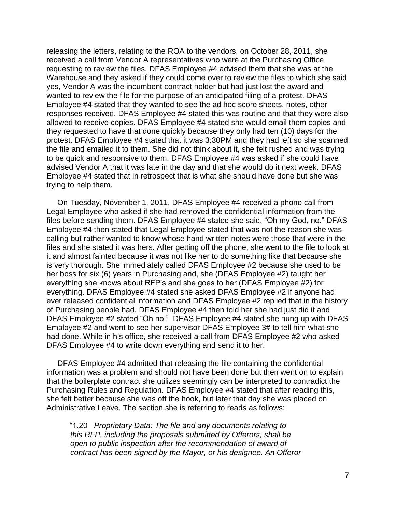releasing the letters, relating to the ROA to the vendors, on October 28, 2011, she received a call from Vendor A representatives who were at the Purchasing Office requesting to review the files. DFAS Employee #4 advised them that she was at the Warehouse and they asked if they could come over to review the files to which she said yes, Vendor A was the incumbent contract holder but had just lost the award and wanted to review the file for the purpose of an anticipated filing of a protest. DFAS Employee #4 stated that they wanted to see the ad hoc score sheets, notes, other responses received. DFAS Employee #4 stated this was routine and that they were also allowed to receive copies. DFAS Employee #4 stated she would email them copies and they requested to have that done quickly because they only had ten (10) days for the protest. DFAS Employee #4 stated that it was 3:30PM and they had left so she scanned the file and emailed it to them. She did not think about it, she felt rushed and was trying to be quick and responsive to them. DFAS Employee #4 was asked if she could have advised Vendor A that it was late in the day and that she would do it next week. DFAS Employee #4 stated that in retrospect that is what she should have done but she was trying to help them.

 On Tuesday, November 1, 2011, DFAS Employee #4 received a phone call from Legal Employee who asked if she had removed the confidential information from the files before sending them. DFAS Employee #4 stated she said, "Oh my God, no." DFAS Employee #4 then stated that Legal Employee stated that was not the reason she was calling but rather wanted to know whose hand written notes were those that were in the files and she stated it was hers. After getting off the phone, she went to the file to look at it and almost fainted because it was not like her to do something like that because she is very thorough. She immediately called DFAS Employee #2 because she used to be her boss for six (6) years in Purchasing and, she (DFAS Employee #2) taught her everything she knows about RFP's and she goes to her (DFAS Employee #2) for everything. DFAS Employee #4 stated she asked DFAS Employee #2 if anyone had ever released confidential information and DFAS Employee #2 replied that in the history of Purchasing people had. DFAS Employee #4 then told her she had just did it and DFAS Employee #2 stated "Oh no." DFAS Employee #4 stated she hung up with DFAS Employee #2 and went to see her supervisor DFAS Employee 3# to tell him what she had done. While in his office, she received a call from DFAS Employee #2 who asked DFAS Employee #4 to write down everything and send it to her.

 DFAS Employee #4 admitted that releasing the file containing the confidential information was a problem and should not have been done but then went on to explain that the boilerplate contract she utilizes seemingly can be interpreted to contradict the Purchasing Rules and Regulation. DFAS Employee #4 stated that after reading this, she felt better because she was off the hook, but later that day she was placed on Administrative Leave. The section she is referring to reads as follows:

"1.20 *Proprietary Data: The file and any documents relating to this RFP, including the proposals submitted by Offerors, shall be open to public inspection after the recommendation of award of contract has been signed by the Mayor, or his designee. An Offeror*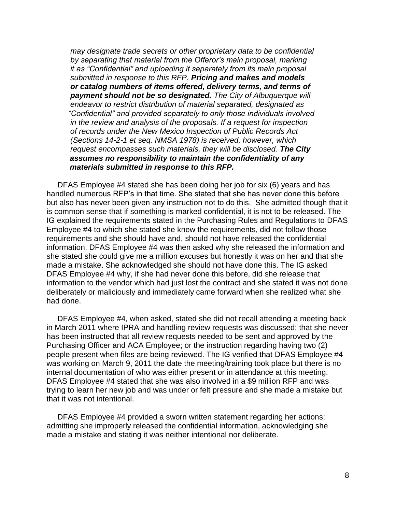*may designate trade secrets or other proprietary data to be confidential by separating that material from the Offeror's main proposal, marking it as "Confidential" and uploading it separately from its main proposal submitted in response to this RFP. Pricing and makes and models or catalog numbers of items offered, delivery terms, and terms of payment should not be so designated. The City of Albuquerque will endeavor to restrict distribution of material separated, designated as "Confidential" and provided separately to only those individuals involved in the review and analysis of the proposals. If a request for inspection of records under the New Mexico Inspection of Public Records Act (Sections 14-2-1 et seq. NMSA 1978) is received, however, which request encompasses such materials, they will be disclosed. The City assumes no responsibility to maintain the confidentiality of any materials submitted in response to this RFP.*

 DFAS Employee #4 stated she has been doing her job for six (6) years and has handled numerous RFP's in that time. She stated that she has never done this before but also has never been given any instruction not to do this. She admitted though that it is common sense that if something is marked confidential, it is not to be released. The IG explained the requirements stated in the Purchasing Rules and Regulations to DFAS Employee #4 to which she stated she knew the requirements, did not follow those requirements and she should have and, should not have released the confidential information. DFAS Employee #4 was then asked why she released the information and she stated she could give me a million excuses but honestly it was on her and that she made a mistake. She acknowledged she should not have done this. The IG asked DFAS Employee #4 why, if she had never done this before, did she release that information to the vendor which had just lost the contract and she stated it was not done deliberately or maliciously and immediately came forward when she realized what she had done.

 DFAS Employee #4, when asked, stated she did not recall attending a meeting back in March 2011 where IPRA and handling review requests was discussed; that she never has been instructed that all review requests needed to be sent and approved by the Purchasing Officer and ACA Employee; or the instruction regarding having two (2) people present when files are being reviewed. The IG verified that DFAS Employee #4 was working on March 9, 2011 the date the meeting/training took place but there is no internal documentation of who was either present or in attendance at this meeting. DFAS Employee #4 stated that she was also involved in a \$9 million RFP and was trying to learn her new job and was under or felt pressure and she made a mistake but that it was not intentional.

 DFAS Employee #4 provided a sworn written statement regarding her actions; admitting she improperly released the confidential information, acknowledging she made a mistake and stating it was neither intentional nor deliberate.